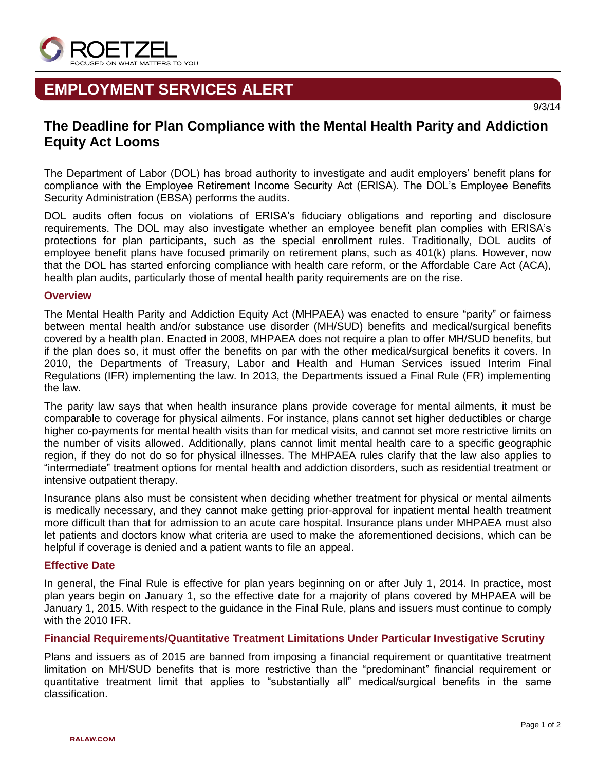

# **EMPLOYMENT SERVICES ALERT**

## **The Deadline for Plan Compliance with the Mental Health Parity and Addiction Equity Act Looms**

The Department of Labor (DOL) has broad authority to investigate and audit employers' benefit plans for compliance with the Employee Retirement Income Security Act (ERISA). The DOL's Employee Benefits Security Administration (EBSA) performs the audits.

DOL audits often focus on violations of ERISA's fiduciary obligations and reporting and disclosure requirements. The DOL may also investigate whether an employee benefit plan complies with ERISA's protections for plan participants, such as the special enrollment rules. Traditionally, DOL audits of employee benefit plans have focused primarily on retirement plans, such as 401(k) plans. However, now that the DOL has started enforcing compliance with health care reform, or the Affordable Care Act (ACA), health plan audits, particularly those of mental health parity requirements are on the rise.

### **Overview**

The Mental Health Parity and Addiction Equity Act (MHPAEA) was enacted to ensure "parity" or fairness between mental health and/or substance use disorder (MH/SUD) benefits and medical/surgical benefits covered by a health plan. Enacted in 2008, MHPAEA does not require a plan to offer MH/SUD benefits, but if the plan does so, it must offer the benefits on par with the other medical/surgical benefits it covers. In 2010, the Departments of Treasury, Labor and Health and Human Services issued Interim Final Regulations (IFR) implementing the law. In 2013, the Departments issued a Final Rule (FR) implementing the law.

The parity law says that when health insurance plans provide coverage for mental ailments, it must be comparable to coverage for physical ailments. For instance, plans cannot set higher deductibles or charge higher co-payments for mental health visits than for medical visits, and cannot set more restrictive limits on the number of visits allowed. Additionally, plans cannot limit mental health care to a specific geographic region, if they do not do so for physical illnesses. The MHPAEA rules clarify that the law also applies to "intermediate" treatment options for mental health and addiction disorders, such as residential treatment or intensive outpatient therapy.

Insurance plans also must be consistent when deciding whether treatment for physical or mental ailments is medically necessary, and they cannot make getting prior-approval for inpatient mental health treatment more difficult than that for admission to an acute care hospital. Insurance plans under MHPAEA must also let patients and doctors know what criteria are used to make the aforementioned decisions, which can be helpful if coverage is denied and a patient wants to file an appeal.

### **Effective Date**

In general, the Final Rule is effective for plan years beginning on or after July 1, 2014. In practice, most plan years begin on January 1, so the effective date for a majority of plans covered by MHPAEA will be January 1, 2015. With respect to the guidance in the Final Rule, plans and issuers must continue to comply with the 2010 IFR.

### **Financial Requirements/Quantitative Treatment Limitations Under Particular Investigative Scrutiny**

Plans and issuers as of 2015 are banned from imposing a financial requirement or quantitative treatment limitation on MH/SUD benefits that is more restrictive than the "predominant" financial requirement or quantitative treatment limit that applies to "substantially all" medical/surgical benefits in the same classification.